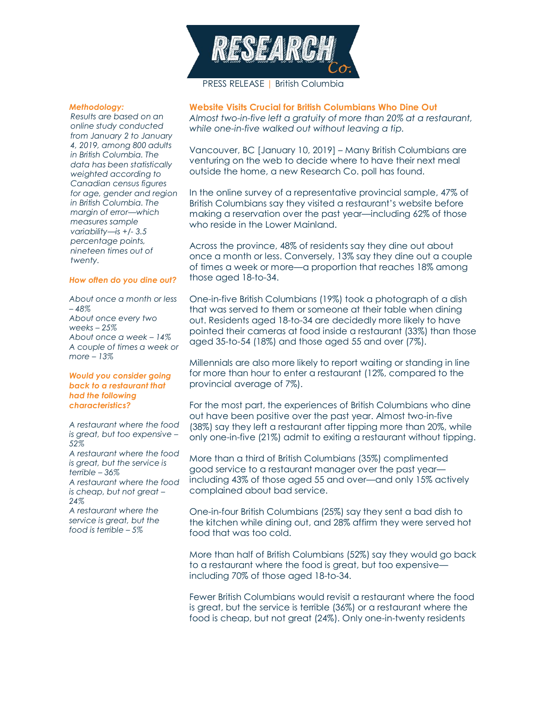

PRESS RELEASE | British Columbia

## *Methodology:*

*Results are based on an online study conducted from January 2 to January 4, 2019, among 800 adults in British Columbia. The data has been statistically weighted according to Canadian census figures for age, gender and region in British Columbia. The margin of error—which measures sample variability—is +/- 3.5 percentage points, nineteen times out of twenty.*

## *How often do you dine out?*

*About once a month or less – 48% About once every two weeks – 25% About once a week – 14% A couple of times a week or more – 13%*

### *Would you consider going back to a restaurant that had the following characteristics?*

*A restaurant where the food is great, but too expensive – 52% A restaurant where the food is great, but the service is terrible – 36% A restaurant where the food is cheap, but not great – 24% A restaurant where the* 

*service is great, but the food is terrible – 5%* 

**Website Visits Crucial for British Columbians Who Dine Out**

*Almost two-in-five left a gratuity of more than 20% at a restaurant, while one-in-five walked out without leaving a tip.*

Vancouver, BC [January 10, 2019] – Many British Columbians are venturing on the web to decide where to have their next meal outside the home, a new Research Co. poll has found.

In the online survey of a representative provincial sample, 47% of British Columbians say they visited a restaurant's website before making a reservation over the past year—including 62% of those who reside in the Lower Mainland.

Across the province, 48% of residents say they dine out about once a month or less. Conversely, 13% say they dine out a couple of times a week or more—a proportion that reaches 18% among those aged 18-to-34.

One-in-five British Columbians (19%) took a photograph of a dish that was served to them or someone at their table when dining out. Residents aged 18-to-34 are decidedly more likely to have pointed their cameras at food inside a restaurant (33%) than those aged 35-to-54 (18%) and those aged 55 and over (7%).

Millennials are also more likely to report waiting or standing in line for more than hour to enter a restaurant (12%, compared to the provincial average of 7%).

For the most part, the experiences of British Columbians who dine out have been positive over the past year. Almost two-in-five (38%) say they left a restaurant after tipping more than 20%, while only one-in-five (21%) admit to exiting a restaurant without tipping.

More than a third of British Columbians (35%) complimented good service to a restaurant manager over the past year including 43% of those aged 55 and over—and only 15% actively complained about bad service.

One-in-four British Columbians (25%) say they sent a bad dish to the kitchen while dining out, and 28% affirm they were served hot food that was too cold.

More than half of British Columbians (52%) say they would go back to a restaurant where the food is great, but too expensive including 70% of those aged 18-to-34.

Fewer British Columbians would revisit a restaurant where the food is great, but the service is terrible (36%) or a restaurant where the food is cheap, but not great (24%). Only one-in-twenty residents